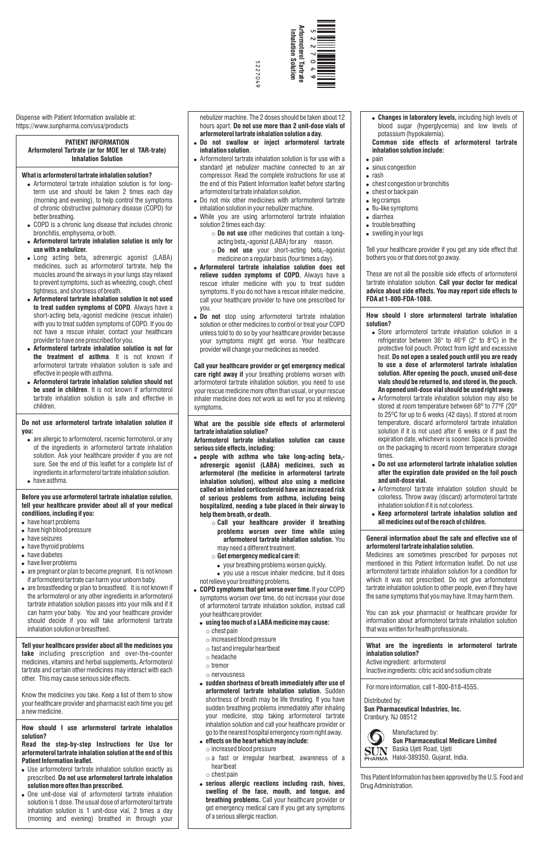Dispense with Patient Information available at: https://www.sunpharma.com/usa/products

## **PATIENT INFORMATION Arformoterol Tartrate (ar for MOE ter ol TAR-trate) Inhalation Solution**

### **What is arformoterol tartrate inhalation solution?**

- Arformoterol tartrate inhalation solution is for longterm use and should be taken 2 times each day (morning and evening), to help control the symptoms of chronic obstructive pulmonary disease (COPD) for better breathing.
- COPD is a chronic lung disease that includes chronic bronchitis, emphysema, or both.
- ! **Arformoterol tartrate inhalation solution is only for use with a nebulizer.**
- $\bullet$  Long acting beta, adrenergic agonist (LABA) medicines, such as arformoterol tartrate, help the muscles around the airways in your lungs stay relaxed to prevent symptoms, such as wheezing, cough, chest tightness, and shortness of breath.
- ! **Arformoterol tartrate inhalation solution is not used to treat sudden symptoms of COPD**. Always have a short-acting beta<sub>2</sub>-agonist medicine (rescue inhaler) with you to treat sudden symptoms of COPD. If you do not have a rescue inhaler, contact your healthcare provider to have one prescribed for you.
- ! **Arformoterol tartrate inhalation solution is not for the treatment of asthma**. It is not known if arformoterol tartrate inhalation solution is safe and effective in people with asthma.
- ! **Arformoterol tartrate inhalation solution should not be used in children**. It is not known if arformoterol tartrate inhalation solution is safe and effective in children.

- have heart problems
- have high blood pressure
- have seizures
- have thyroid problems
- have diabetes
- $\bullet$  have liver problems
- are pregnant or plan to become pregnant. It is not known if arformoterol tartrate can harm your unborn baby.
- are breastfeeding or plan to breastfeed. It is not known if the arformoterol or any other ingredients in arformoterol tartrate inhalation solution passes into your milk and if it can harm your baby. You and your healthcare provider

### **Do not use arformoterol tartrate inhalation solution if you:**

- are allergic to arformoterol, racemic formoterol, or any of the ingredients in arformoterol tartrate inhalation solution. Ask your healthcare provider if you are not sure. See the end of this leaflet for a complete list of ingredients in arformoterol tartrate inhalation solution.
- have asthma.

- Use arformoterol tartrate inhalation solution exactly as prescribed. **Do not use arformoterol tartrate inhalation solution more often than prescribed.**
- . One unit-dose vial of arformoterol tartrate inhalation solution is 1 dose. The usual dose of arformoterol tartrate inhalation solution is 1 unit-dose vial, 2 times a day (morning and evening) breathed in through your

### **Before you use arformoterol tartrate inhalation solution, tell your healthcare provider about all of your medical conditions, including if you:**

should decide if you will take arformoterol tartrate inhalation solution or breastfeed.

**Tell your healthcare provider about all the medicines you take** including prescription and over-the-counter medicines, vitamins and herbal supplements**.** Arformoterol tartrate and certain other medicines may interact with each other. This may cause serious side effects.

Know the medicines you take. Keep a list of them to show your healthcare provider and pharmacist each time you get a new medicine.

**How should I use arformoterol tartrate inhalation solution?**

**Read the step-by-step Instructions for Use for arformoterol tartrate inhalation solution at the end of this Patient Information leaflet.**

- **•** people with asthma who take long-acting beta<sub>2</sub>**adrenergic agonist (LABA) medicines, such as arformoterol (the medicine in arformoterol tartrate inhalation solution), without also using a medicine called an inhaled corticosteroid have an increased risk of serious problems from asthma, including being hospitalized, needing a tube placed in their airway to help them breath, or death.**
	- o **Call your healthcare provider if breathing problems worsen over time while using arformoterol tartrate inhalation solution.** You may need a different treatment.
	- o **Get emergency medical care if:**
	- your breathing problems worsen quickly.
	- you use a rescue inhaler medicine, but it does not relieve your breathing problems.
- ! **COPD symptoms that get worse over time.** If your COPD symptoms worsen over time, do not increase your dose of arformoterol tartrate inhalation solution, instead call your healthcare provider.

nebulizer machine. The 2 doses should be taken about 12 hours apart. **Do not use more than 2 unit-dose vials of arformoterol tartrate inhalation solution a day.**

- ! **Do not swallow or inject arformoterol tartrate inhalation solution**.
- Arformoterol tartrate inhalation solution is for use with a standard jet nebulizer machine connected to an air compressor. Read the complete instructions for use at the end of this Patient Information leaflet before starting arformoterol tartrate inhalation solution.
- . Do not mix other medicines with arformoterol tartrate inhalation solution in your nebulizer machine.
- . While you are using arformoterol tartrate inhalation solution 2 times each day:
	- o **Do not use** other medicines that contain a longacting beta<sub>2</sub>-agonist (LABA) for any reason.
	- $\circ$  **Do not use** your short-acting beta<sub>2</sub>-agonist medicine on a regular basis (four times a day).
- ! **Arformoterol tartrate inhalation solution does not relieve sudden symptoms of COPD.** Always have a rescue inhaler medicine with you to treat sudden symptoms. If you do not have a rescue inhaler medicine, call your healthcare provider to have one prescribed for you.
- ! **Do not** stop using arformoterol tartrate inhalation solution or other medicines to control or treat your COPD unless told to do so by your healthcare provider because your symptoms might get worse. Your healthcare provider will change your medicines as needed.
- Store arformoterol tartrate inhalation solution in a refrigerator between 36° to 46°F (2° to 8°C) in the protective foil pouch. Protect from light and excessive heat. **Do not open a sealed pouch until you are ready to use a dose of arformoterol tartrate inhalation solution. After opening the pouch, unused unit-dose vials should be returned to, and stored in, the pouch. An opened unit-dose vial should be used right away.**
- Arformoterol tartrate inhalation solution may also be stored at room temperature between 68º to 77ºF (20º to 25ºC for up to 6 weeks (42 days). If stored at room temperature, discard arformoterol tartrate inhalation solution if it is not used after 6 weeks or if past the expiration date, whichever is sooner. Space is provided on the packaging to record room temperature storage times.
- ! **Do not use arformoterol tartrate inhalation solution after the expiration date provided on the foil pouch and unit-dose vial.**
- Arformoterol tartrate inhalation solution should be colorless. Throw away (discard) arformoterol tartrate inhalation solution if it is not colorless.
- ! **Keep arformoterol tartrate inhalation solution and all medicines out of the reach of children.**

Manufactured by: **Sun Pharmaceutical Medicare Limited**  SUN Baska Ujeti Road, Ujeti PHARMA Halol-389350, Gujarat, India.

**Call your healthcare provider or get emergency medical care right away if** your breathing problems worsen with arformoterol tartrate inhalation solution, you need to use your rescue medicine more often than usual, or your rescue inhaler medicine does not work as well for you at relieving symptoms.

**What are the possible side effects of arformoterol tartrate inhalation solution?**

**Arformoterol tartrate inhalation solution can cause serious side effects, including:**

- ! **using too much of a LABA medicine may cause:**
	- $\circ$  chest pain
	- o increased blood pressure
	- $\circ$  fast and irregular heartbeat
- o headache
- o tremor
- o nervousness
- ! **sudden shortness of breath immediately after use of arformoterol tartrate inhalation solution.** Sudden shortness of breath may be life threating. If you have sudden breathing problems immediately after inhaling your medicine, stop taking arformoterol tartrate inhalation solution and call your healthcare provider or go to the nearest hospital emergency room right away.
- ! **effects on the heart which may include:**
	- $\circ$  increased blood pressure
	- $\circ$  a fast or irregular heartbeat, awareness of a heartbeat
	- $\circ$  chest pain
- ! **serious allergic reactions including rash, hives, swelling of the face, mouth, and tongue, and breathing problems.** Call your healthcare provider or get emergency medical care if you get any symptoms of a serious allergic reaction.

! **Changes in laboratory levels,** including high levels of blood sugar (hyperglycemia) and low levels of potassium (hypokalemia).

**Common side effects of arformoterol tartrate inhalation solution include:**

- $\bullet$  pain
- sinus congestion
- $\bullet$  rash
- chest congestion or bronchitis
- $\bullet$  chest or back pain
- $\bullet$  leg cramps
- flu-like symptoms
- diarrhea
- $\bullet$  trouble breathing
- swelling in your legs

Tell your healthcare provider if you get any side effect that bothers you or that does not go away.

These are not all the possible side effects of arformoterol tartrate inhalation solution. **Call your doctor for medical advice about side effects. You may report side effects to FDA at 1-800-FDA-1088.**

**How should I store arformoterol tartrate inhalation solution?**

## **General information about the safe and effective use of arformoterol tartrate inhalation solution.**

Medicines are sometimes prescribed for purposes not mentioned in this Patient Information leaflet. Do not use arformoterol tartrate inhalation solution for a condition for which it was not prescribed. Do not give arformoterol tartrate inhalation solution to other people, even if they have the same symptoms that you may have. It may harm them.

You can ask your pharmacist or healthcare provider for

information about arformoterol tartrate inhalation solution that was written for health professionals.

**What are the ingredients in arformoterol tartrate inhalation solution?**

Active ingredient: arformoterol Inactive ingredients: citric acid and sodium citrate

For more information, call 1-800-818-4555.

This Patient Information has been approved by the U.S. Food and Drug Administration.

5227049

5227049



Distributed by:

**Sun Pharmaceutical Industries, Inc.** Cranbury, NJ 08512